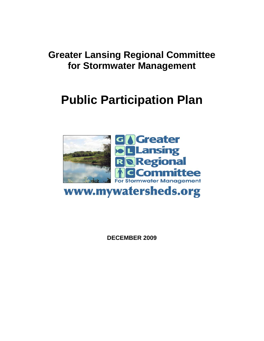## **Greater Lansing Regional Committee for Stormwater Management**

# **Public Participation Plan**



www.mywatersheds.org

**DECEMBER 2009**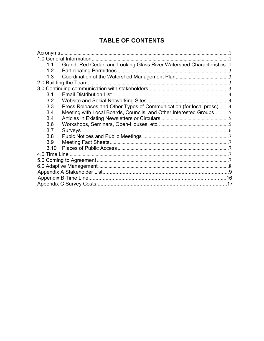## **TABLE OF CONTENTS**

| <b>Acronyms</b> |                                                                      |  |
|-----------------|----------------------------------------------------------------------|--|
|                 | 1.0 General Information.                                             |  |
| 1.1             | Grand, Red Cedar, and Looking Glass River Watershed Characteristics1 |  |
| 1.2             | <b>Participating Permittees</b>                                      |  |
| 1.3             |                                                                      |  |
|                 | 2.0 Building the Team.                                               |  |
|                 |                                                                      |  |
| 3.1             | <b>Email Distribution List.</b>                                      |  |
| 3.2             |                                                                      |  |
| 3.3             | Press Releases and Other Types of Communication (for local press)4   |  |
| 3.4             | Meeting with Local Boards, Councils, and Other Interested Groups5    |  |
| 3.4             |                                                                      |  |
| 3.6             |                                                                      |  |
| 3.7             |                                                                      |  |
| 3.8             |                                                                      |  |
| 3.9             |                                                                      |  |
| 3.10            |                                                                      |  |
| 4.0 Time Line   |                                                                      |  |
|                 |                                                                      |  |
|                 |                                                                      |  |
|                 |                                                                      |  |
|                 |                                                                      |  |
|                 |                                                                      |  |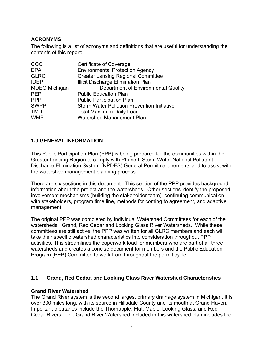## **ACRONYMS**

The following is a list of acronyms and definitions that are useful for understanding the contents of this report:

| COC                  | Certificate of Coverage                            |
|----------------------|----------------------------------------------------|
| <b>EPA</b>           | <b>Environmental Protection Agency</b>             |
| <b>GLRC</b>          | <b>Greater Lansing Regional Committee</b>          |
| <b>IDEP</b>          | <b>Illicit Discharge Elimination Plan</b>          |
| <b>MDEQ Michigan</b> | Department of Environmental Quality                |
| <b>PEP</b>           | <b>Public Education Plan</b>                       |
| <b>PPP</b>           | <b>Public Participation Plan</b>                   |
| <b>SWPPI</b>         | <b>Storm Water Pollution Prevention Initiative</b> |
| <b>TMDL</b>          | <b>Total Maximum Daily Load</b>                    |
| <b>WMP</b>           | <b>Watershed Management Plan</b>                   |

## **1.0 GENERAL INFORMATION**

This Public Participation Plan (PPP) is being prepared for the communities within the Greater Lansing Region to comply with Phase II Storm Water National Pollutant Discharge Elimination System (NPDES) General Permit requirements and to assist with the watershed management planning process.

There are six sections in this document. This section of the PPP provides background information about the project and the watersheds. Other sections identify the proposed involvement mechanisms (building the stakeholder team), continuing communication with stakeholders, program time line, methods for coming to agreement, and adaptive management.

The original PPP was completed by individual Watershed Committees for each of the watersheds: Grand, Red Cedar and Looking Glass River Watersheds. While these committees are still active, the PPP was written for all GLRC members and each will take their specific watershed characteristics into consideration throughout PPP activities. This streamlines the paperwork load for members who are part of all three watersheds and creates a concise document for members and the Public Education Program (PEP) Committee to work from throughout the permit cycle.

#### **1.1 Grand, Red Cedar, and Looking Glass River Watershed Characteristics**

#### **Grand River Watershed**

The Grand River system is the second largest primary drainage system in Michigan. It is over 300 miles long, with its source in Hillsdale County and its mouth at Grand Haven. Important tributaries include the Thornapple, Flat, Maple, Looking Glass, and Red Cedar Rivers. The Grand River Watershed included in this watershed plan includes the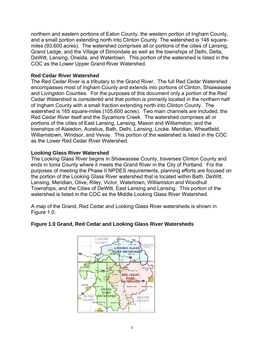northern and eastern portions of Eaton County, the western portion of Ingham County, and a small portion extending north into Clinton County. The watershed is 146 squaremiles (93,600 acres). The watershed comprises all or portions of the cities of Lansing, Grand Ledge, and the Village of Dimondale as well as the townships of Delhi, Delta, DeWitt, Lansing, Oneida, and Watertown. This portion of the watershed is listed in the COC as the Lower Upper Grand River Watershed.

#### **Red Cedar River Watershed**

The Red Cedar River is a tributary to the Grand River. The full Red Cedar Watershed encompasses most of Ingham County and extends into portions of Clinton, Shiawassee and Livingston Counties. For the purposes of this document only a portion of the Red Cedar Watershed is considered and that portion is primarily located in the northern half of Ingham County with a small fraction extending north into Clinton County. The watershed is 165 square-miles (105,600 acres). Two main channels are included, the Red Cedar River itself and the Sycamore Creek. The watershed comprises all or portions of the cities of East Lansing, Lansing, Mason and Williamston; and the townships of Alaiedon, Aurelius, Bath, Delhi, Lansing, Locke, Meridian, Wheatfield, Williamstown, Windsor, and Vevay. This portion of the watershed is listed in the COC as the Lower Red Cedar River Watershed.

#### **Looking Glass River Watershed**

The Looking Glass River begins in Shiawassee County, traverses Clinton County and ends in Ionia County where it meets the Grand River in the City of Portland. For the purposes of meeting the Phase II NPDES requirements, planning efforts are focused on the portion of the Looking Glass River watershed that is located within Bath, DeWitt, Lansing, Meridian, Olive, Riley, Victor, Watertown, Williamston and Woodhull Townships, and the Cities of DeWitt, East Lansing and Lansing. This portion of the watershed is listed in the COC as the Middle Looking Glass River Watershed.

A map of the Grand, Red Cedar and Looking Glass River watersheds is shown in Figure 1.0.



#### **Figure 1.0 Grand, Red Cedar and Looking Glass River Watersheds**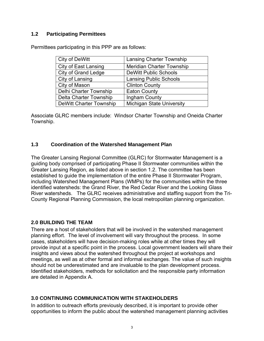#### **1.2 Participating Permittees**

Permittees participating in this PPP are as follows:

| City of DeWitt                 | <b>Lansing Charter Township</b>  |
|--------------------------------|----------------------------------|
| <b>City of East Lansing</b>    | <b>Meridian Charter Township</b> |
| <b>City of Grand Ledge</b>     | <b>DeWitt Public Schools</b>     |
| City of Lansing                | <b>Lansing Public Schools</b>    |
| City of Mason                  | <b>Clinton County</b>            |
| Delhi Charter Township         | <b>Eaton County</b>              |
| Delta Charter Township         | Ingham County                    |
| <b>DeWitt Charter Township</b> | <b>Michigan State University</b> |

Associate GLRC members include: Windsor Charter Township and Oneida Charter Township.

#### **1.3 Coordination of the Watershed Management Plan**

The Greater Lansing Regional Committee (GLRC) for Stormwater Management is a guiding body comprised of participating Phase II Stormwater communities within the Greater Lansing Region, as listed above in section 1.2. The committee has been established to guide the implementation of the entire Phase II Stormwater Program, including Watershed Management Plans (WMPs) for the communities within the three identified watersheds: the Grand River, the Red Cedar River and the Looking Glass River watersheds. The GLRC receives administrative and staffing support from the Tri-County Regional Planning Commission, the local metropolitan planning organization.

#### **2.0 BUILDING THE TEAM**

There are a host of stakeholders that will be involved in the watershed management planning effort. The level of involvement will vary throughout the process. In some cases, stakeholders will have decision-making roles while at other times they will provide input at a specific point in the process. Local government leaders will share their insights and views about the watershed throughout the project at workshops and meetings, as well as at other formal and informal exchanges. The value of such insights should not be underestimated and are invaluable to the plan development process. Identified stakeholders, methods for solicitation and the responsible party information are detailed in Appendix A.

#### **3.0 CONTINUING COMMUNICATION WITH STAKEHOLDERS**

In addition to outreach efforts previously described, it is important to provide other opportunities to inform the public about the watershed management planning activities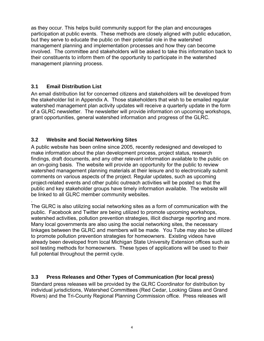as they occur. This helps build community support for the plan and encourages participation at public events. These methods are closely aligned with public education, but they serve to educate the public on their potential role in the watershed management planning and implementation processes and how they can become involved. The committee and stakeholders will be asked to take this information back to their constituents to inform them of the opportunity to participate in the watershed management planning process.

## **3.1 Email Distribution List**

An email distribution list for concerned citizens and stakeholders will be developed from the stakeholder list in Appendix A. Those stakeholders that wish to be emailed regular watershed management plan activity updates will receive a quarterly update in the form of a GLRC newsletter. The newsletter will provide information on upcoming workshops, grant opportunities, general watershed information and progress of the GLRC.

## **3.2 Website and Social Networking Sites**

A public website has been online since 2005, recently redesigned and developed to make information about the plan development process, project status, research findings, draft documents, and any other relevant information available to the public on an on-going basis. The website will provide an opportunity for the public to review watershed management planning materials at their leisure and to electronically submit comments on various aspects of the project. Regular updates, such as upcoming project-related events and other public outreach activities will be posted so that the public and key stakeholder groups have timely information available. The website will be linked to all GLRC member community websites.

. The GLRC is also utilizing social networking sites as a form of communication with the public. Facebook and Twitter are being utilized to promote upcoming workshops, watershed activities, pollution prevention strategies, illicit discharge reporting and more. Many local governments are also using the social networking sites, the necessary linkages between the GLRC and members will be made. You Tube may also be utilized to promote pollution prevention strategies for homeowners. Existing videos have already been developed from local Michigan State University Extension offices such as soil testing methods for homeowners. These types of applications will be used to their full potential throughout the permit cycle.

## **3.3 Press Releases and Other Types of Communication (for local press)**

Standard press releases will be provided by the GLRC Coordinator for distribution by individual jurisdictions, Watershed Committees (Red Cedar, Looking Glass and Grand Rivers) and the Tri-County Regional Planning Commission office. Press releases will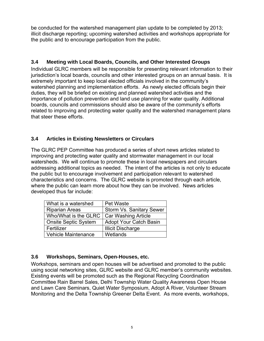be conducted for the watershed management plan update to be completed by 2013; illicit discharge reporting; upcoming watershed activities and workshops appropriate for the public and to encourage participation from the public.

## **3.4 Meeting with Local Boards, Councils, and Other Interested Groups**

Individual GLRC members will be responsible for presenting relevant information to their jurisdiction's local boards, councils and other interested groups on an annual basis. It is extremely important to keep local elected officials involved in the community's watershed planning and implementation efforts. As newly elected officials begin their duties, they will be briefed on existing and planned watershed activities and the importance of pollution prevention and land use planning for water quality. Additional boards, councils and commissions should also be aware of the community's efforts related to improving and protecting water quality and the watershed management plans that steer these efforts.

#### **3.4 Articles in Existing Newsletters or Circulars**

The GLRC PEP Committee has produced a series of short news articles related to improving and protecting water quality and stormwater management in our local watersheds. We will continue to promote these in local newspapers and circulars addressing additional topics as needed. The intent of the articles is not only to educate the public but to encourage involvement and participation relevant to watershed characteristics and concerns. The GLRC website is promoted through each article, where the public can learn more about how they can be involved. News articles developed thus far include:

| What is a watershed         | Pet Waste                       |
|-----------------------------|---------------------------------|
| <b>Riparian Areas</b>       | <b>Storm Vs. Sanitary Sewer</b> |
| Who/What is the GLRC        | <b>Car Washing Article</b>      |
| <b>Onsite Septic System</b> | <b>Adopt Your Catch Basin</b>   |
| Fertilizer                  | <b>Illicit Discharge</b>        |
| <b>Vehicle Maintenance</b>  | Wetlands                        |

#### **3.6 Workshops, Seminars, Open-Houses, etc.**

Workshops, seminars and open houses will be advertised and promoted to the public using social networking sites, GLRC website and GLRC member's community websites. Existing events will be promoted such as the Regional Recycling Coordination Committee Rain Barrel Sales, Delhi Township Water Quality Awareness Open House and Lawn Care Seminars, Quiet Water Symposium, Adopt A River, Volunteer Stream Monitoring and the Delta Township Greener Delta Event. As more events, workshops,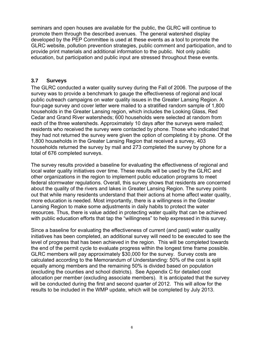seminars and open houses are available for the public, the GLRC will continue to promote them through the described avenues. The general watershed display developed by the PEP Committee is used at these events as a tool to promote the GLRC website, pollution prevention strategies, public comment and participation, and to provide print materials and additional information to the public. Not only public education, but participation and public input are stressed throughout these events.

#### **3.7 Surveys**

The GLRC conducted a water quality survey during the Fall of 2006. The purpose of the survey was to provide a benchmark to gauge the effectiveness of regional and local public outreach campaigns on water quality issues in the Greater Lansing Region. A four-page survey and cover letter were mailed to a stratified random sample of 1,800 households in the Greater Lansing region, which includes the Looking Glass, Red Cedar and Grand River watersheds; 600 households were selected at random from each of the three watersheds. Approximately 10 days after the surveys were mailed; residents who received the survey were contacted by phone. Those who indicated that they had not returned the survey were given the option of completing it by phone. Of the 1,800 households in the Greater Lansing Region that received a survey, 403 households returned the survey by mail and 273 completed the survey by phone for a total of 676 completed surveys.

The survey results provided a baseline for evaluating the effectiveness of regional and local water quality initiatives over time. These results will be used by the GLRC and other organizations in the region to implement public education programs to meet federal stormwater regulations. Overall, this survey shows that residents are concerned about the quality of the rivers and lakes in Greater Lansing Region. The survey points out that while many residents understand that their actions at home affect water quality, more education is needed. Most importantly, there is a willingness in the Greater Lansing Region to make some adjustments in daily habits to protect the water resources. Thus, there is value added in protecting water quality that can be achieved with public education efforts that tap the "willingness" to help expressed in this survey.

Since a baseline for evaluating the effectiveness of current (and past) water quality initiatives has been completed, an additional survey will need to be executed to see the level of progress that has been achieved in the region. This will be completed towards the end of the permit cycle to evaluate progress within the longest time frame possible. GLRC members will pay approximately \$30,000 for the survey. Survey costs are calculated according to the Memorandum of Understanding: 50% of the cost is split equally among members and the remaining 50% is divided based on population (excluding the counties and school districts). See Appendix C for detailed cost allocation per member (excluding associate members). It is anticipated that the survey will be conducted during the first and second quarter of 2012. This will allow for the results to be included in the WMP update, which will be completed by July 2013.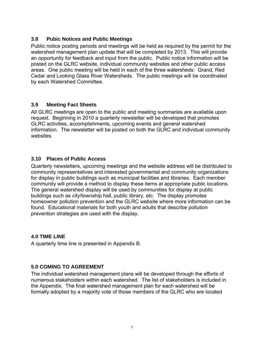#### **3.8 Pubic Notices and Public Meetings**

Public notice posting periods and meetings will be held as required by the permit for the watershed management plan update that will be completed by 2013. This will provide an opportunity for feedback and input from the public. Public notice information will be posted on the GLRC website, individual community websites and other public access areas. One public meeting will be held in each of the three watersheds: Grand, Red Cedar and Looking Glass River Watersheds. The public meetings will be coordinated by each Watershed Committee.

#### **3.9 Meeting Fact Sheets**

All GLRC meetings are open to the public and meeting summaries are available upon request. Beginning in 2010 a quarterly newsletter will be developed that promotes GLRC activities, accomplishments, upcoming events and general watershed information. The newsletter will be posted on both the GLRC and individual community websites.

#### **3.10 Places of Public Access**

Quarterly newsletters, upcoming meetings and the website address will be distributed to community representatives and interested governmental and community organizations for display in public buildings such as municipal facilities and libraries. Each member community will provide a method to display these items at appropriate public locations. The general watershed display will be used by communities for display at public buildings such as city/township hall, public library, etc. The display promotes homeowner pollution prevention and the GLRC website where more information can be found. Educational materials for both youth and adults that describe pollution prevention strategies are used with the display.

#### **4.0 TIME LINE**

A quarterly time line is presented in Appendix B.

#### **5.0 COMING TO AGREEMENT**

The individual watershed management plans will be developed through the efforts of numerous stakeholders within each watershed. The list of stakeholders is included in the Appendix. The final watershed management plan for each watershed will be formally adopted by a majority vote of those members of the GLRC who are located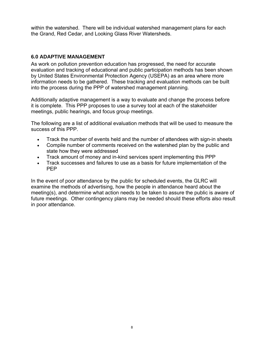within the watershed. There will be individual watershed management plans for each the Grand, Red Cedar, and Looking Glass River Watersheds.

#### **6.0 ADAPTIVE MANAGEMENT**

As work on pollution prevention education has progressed, the need for accurate evaluation and tracking of educational and public participation methods has been shown by United States Environmental Protection Agency (USEPA) as an area where more information needs to be gathered. These tracking and evaluation methods can be built into the process during the PPP of watershed management planning.

Additionally adaptive management is a way to evaluate and change the process before it is complete. This PPP proposes to use a survey tool at each of the stakeholder meetings, public hearings, and focus group meetings.

The following are a list of additional evaluation methods that will be used to measure the success of this PPP.

- Track the number of events held and the number of attendees with sign-in sheets
- Compile number of comments received on the watershed plan by the public and state how they were addressed
- Track amount of money and in-kind services spent implementing this PPP
- Track successes and failures to use as a basis for future implementation of the PEP

In the event of poor attendance by the public for scheduled events, the GLRC will examine the methods of advertising, how the people in attendance heard about the meeting(s), and determine what action needs to be taken to assure the public is aware of future meetings. Other contingency plans may be needed should these efforts also result in poor attendance.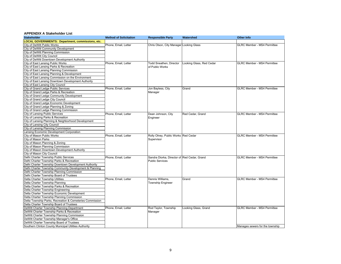#### **APPENDIX A Stakeholder List**

| <b>Stakeholder</b>                                                           | <b>Method of Solicitation</b> | <b>Responsible Party</b>                    | Watershed                | <b>Other Info</b>                  |
|------------------------------------------------------------------------------|-------------------------------|---------------------------------------------|--------------------------|------------------------------------|
| <b>LOCAL GOVERNMENTS: Department, commissions, etc.</b>                      |                               |                                             |                          |                                    |
| City of DeWitt Public Works                                                  | Phone, Email, Letter          | Chris Olson, City Manager Looking Glass     |                          | <b>GLRC Member - MS4 Permittee</b> |
| City of DeWitt Community Development                                         |                               |                                             |                          |                                    |
| City of DeWitt Planning Commission                                           |                               |                                             |                          |                                    |
| City of DeWitt City Council                                                  |                               |                                             |                          |                                    |
| City of DeWitt Downtown Development Authority                                |                               |                                             |                          |                                    |
| City of East Lansing Public Works                                            | Phone, Email, Letter          | <b>Todd Sneathen, Director</b>              | Looking Glass, Red Cedar | <b>GLRC Member - MS4 Permittee</b> |
| City of East Lansing Parks & Recreation                                      |                               | of Public Works                             |                          |                                    |
| City of East Lansing Planning Commission                                     |                               |                                             |                          |                                    |
| City of East Lansing Planning & Development                                  |                               |                                             |                          |                                    |
| City of East Lansing Commission on the Environment                           |                               |                                             |                          |                                    |
| City of East Lansing Downtown Development Authority                          |                               |                                             |                          |                                    |
| City of East Lansing City Council                                            |                               |                                             |                          |                                    |
| City of Grand Ledge Public Services                                          | Phone, Email, Letter          | Jon Bayless, City                           | Grand                    | <b>GLRC Member - MS4 Permittee</b> |
| City of Grand Ledge Parks & Recreation                                       |                               | Manager                                     |                          |                                    |
| City of Grand Ledge Community Development                                    |                               |                                             |                          |                                    |
| City of Grand Ledge City Council                                             |                               |                                             |                          |                                    |
| City of Grand Ledge Economic Development                                     |                               |                                             |                          |                                    |
| City of Grand Ledge Planning & Zoning                                        |                               |                                             |                          |                                    |
| City of Grand Ledge Planning Commission                                      |                               |                                             |                          |                                    |
|                                                                              |                               |                                             | Red Cedar, Grand         | <b>GLRC Member - MS4 Permittee</b> |
| <b>City of Lansing Public Services</b><br>City of Lansing Parks & Recreation | Phone, Email, Letter          | Dean Johnson, City                          |                          |                                    |
|                                                                              |                               | Engineer                                    |                          |                                    |
| City of Lansing Planning & Neighborhood Development                          |                               |                                             |                          |                                    |
| City of Lansing City Council                                                 |                               |                                             |                          |                                    |
| City of Lansing Planning Commission                                          |                               |                                             |                          |                                    |
| Lansing Economic Development Corporation                                     |                               |                                             |                          |                                    |
| City of Mason Public Works                                                   | Phone, Email, Letter          | Rolly Olney, Public Works Red Cedar         |                          | <b>GLRC Member - MS4 Permittee</b> |
| City of Mason Parks                                                          |                               | Supervisor                                  |                          |                                    |
| City of Mason Planning & Zoning                                              |                               |                                             |                          |                                    |
| City of Mason Planning Commission                                            |                               |                                             |                          |                                    |
| City of Mason Downtown Development Authority                                 |                               |                                             |                          |                                    |
| City of Mason City Council                                                   |                               |                                             |                          |                                    |
| Delhi Charter Township Public Services                                       | Phone, Email, Letter          | Sandra Diorka, Director of Red Cedar, Grand |                          | <b>GLRC Member - MS4 Permittee</b> |
| Delhi Charter Township Parks & Recreation                                    |                               | <b>Public Services</b>                      |                          |                                    |
| Delhi Charter Township Downtown Development Authority                        |                               |                                             |                          |                                    |
| Delhi Charter Township Community Development & Planning                      |                               |                                             |                          |                                    |
| Delhi Charter Township Planning Commission                                   |                               |                                             |                          |                                    |
| Delhi Charter Township Board of Trustees                                     |                               |                                             |                          |                                    |
| Delta Charter Township Utilities                                             | Phone, Email, Letter          | Dennis Williams.                            | Grand                    | <b>GLRC Member - MS4 Permittee</b> |
| Delta Charter Township Planning                                              |                               | Township Engineer                           |                          |                                    |
| Delta Charter Township Parks & Recreation                                    |                               |                                             |                          |                                    |
| Delta Charter Township Engineering                                           |                               |                                             |                          |                                    |
| Delta Charter Township Economic Development                                  |                               |                                             |                          |                                    |
| Delta Charter Township Planning Commission                                   |                               |                                             |                          |                                    |
| Delta Township Parks, Recreation & Cemeteries Commission                     |                               |                                             |                          |                                    |
| Delta Charter Township Board of Trustees                                     |                               |                                             |                          |                                    |
| DeWitt Charter Township Planning Department                                  | Phone, Email, Letter          | Rod Taylor, Township                        | Looking Glass, Grand     | <b>GLRC Member - MS4 Permittee</b> |
| DeWitt Charter Township Parks & Recreation                                   |                               | Manager                                     |                          |                                    |
| DeWitt Charter Township Planning Commission                                  |                               |                                             |                          |                                    |
| DeWitt Charter Township Manager's Office                                     |                               |                                             |                          |                                    |
| DeWitt Charter Township Board of Trustees                                    |                               |                                             |                          |                                    |
| Southern Clinton County Municipal Utilities Authority                        |                               |                                             |                          | Manages sewers for the township    |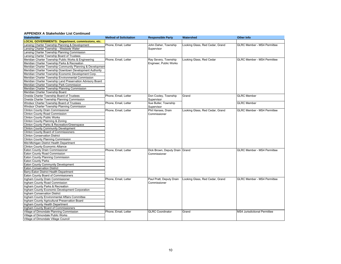| <b>Stakeholder</b>                                         | <b>Method of Solicitation</b> | <b>Responsible Party</b>       | Watershed                       | <b>Other Info</b>                  |  |  |
|------------------------------------------------------------|-------------------------------|--------------------------------|---------------------------------|------------------------------------|--|--|
| <b>LOCAL GOVERNMENTS: Department, commissions, etc.</b>    |                               |                                |                                 |                                    |  |  |
| ansing Charter Township Planning & Development             | Phone, Email, Letter          | John Daher, Township           | Looking Glass, Red Cedar, Grand | <b>GLRC Member - MS4 Permittee</b> |  |  |
| ansing Charter Township - Westside Water                   |                               | Supervisor                     |                                 |                                    |  |  |
| ansing Charter Township Planning Commission                |                               |                                |                                 |                                    |  |  |
| ansing Charter Township Board of Trustees                  |                               |                                |                                 |                                    |  |  |
| Meridian Charter Township Public Works & Engineering       | Phone, Email, Letter          | Ray Severy, Township           | Looking Glass, Red Cedar        | <b>GLRC Member - MS4 Permittee</b> |  |  |
| Meridian Charter Township Parks & Recreation               |                               | Engineer, Public Works         |                                 |                                    |  |  |
| Meridian Charter Township Community Planning & Development |                               |                                |                                 |                                    |  |  |
| Meridian Charter Township Downtown Development Authority   |                               |                                |                                 |                                    |  |  |
| Meridian Charter Township Economic Development Corp.       |                               |                                |                                 |                                    |  |  |
| Meridian Charter Township Environmental Commission         |                               |                                |                                 |                                    |  |  |
| Meridian Charter Township Land Preservation Advisory Board |                               |                                |                                 |                                    |  |  |
| Meridian Charter Township Park Commission                  |                               |                                |                                 |                                    |  |  |
| Meridian Charter Township Planning Commission              |                               |                                |                                 |                                    |  |  |
| Meridian Charter Township Board                            |                               |                                |                                 |                                    |  |  |
| Oneida Charter Township Board of Trustees                  | Phone, Email, Letter          | Don Cooley, Township           | Grand                           | <b>GLRC</b> Member                 |  |  |
| Oneida Charter Township Planning Commission                |                               | Supervisor                     |                                 |                                    |  |  |
| Windsor Charter Township Board of Trustees                 | Phone, Email, Letter          | Sue Butler, Township           |                                 | <b>GLRC</b> Member                 |  |  |
| Windsor Charter Township Planning Commission               |                               | Supervisor                     |                                 |                                    |  |  |
| <b>Clinton County Drain Commissioner</b>                   | Phone, Email, Letter          | Phil Hanses, Drain             | Looking Glass, Red Cedar, Grand | <b>GLRC Member - MS4 Permittee</b> |  |  |
| Clinton County Road Commission                             |                               | Commissioner                   |                                 |                                    |  |  |
| <b>Clinton County Public Works</b>                         |                               |                                |                                 |                                    |  |  |
| Clinton County Planning & Zoning                           |                               |                                |                                 |                                    |  |  |
| Clinton County Parks & Recreation/Greenspace               |                               |                                |                                 |                                    |  |  |
| <b>Clinton County Community Development</b>                |                               |                                |                                 |                                    |  |  |
| Clinton County Board of Commissioners                      |                               |                                |                                 |                                    |  |  |
| <b>Clinton Conservation District</b>                       |                               |                                |                                 |                                    |  |  |
| Clinton County Planning Commission                         |                               |                                |                                 |                                    |  |  |
| Mid-Michigan District Health Department                    |                               |                                |                                 |                                    |  |  |
| <b>Clinton County Economic Alliance</b>                    |                               |                                |                                 |                                    |  |  |
| Eaton County Drain Commissioner                            | Phone, Email, Letter          | Dick Brown, Deputy Drain Grand |                                 | <b>GLRC Member - MS4 Permittee</b> |  |  |
| Eaton County Road Commission                               |                               | Commissioner                   |                                 |                                    |  |  |
| Eaton County Planning Commission                           |                               |                                |                                 |                                    |  |  |
| <b>Eaton County Parks</b>                                  |                               |                                |                                 |                                    |  |  |
| Eaton County Community Development                         |                               |                                |                                 |                                    |  |  |
| <b>Eaton Conservation District</b>                         |                               |                                |                                 |                                    |  |  |
| Barry-Eaton District Health Department                     |                               |                                |                                 |                                    |  |  |
| Eaton County Board of Commissioners                        |                               |                                |                                 |                                    |  |  |
| Ingham County Drain Commissioner                           | Phone, Email, Letter          | Paul Pratt, Deputy Drain       | Looking Glass, Red Cedar, Grand | <b>GLRC Member - MS4 Permittee</b> |  |  |
| Ingham County Road Commission                              |                               | Commissioner                   |                                 |                                    |  |  |
| Ingham County Parks & Recreation                           |                               |                                |                                 |                                    |  |  |
| Ingham County Economic Development Corporation             |                               |                                |                                 |                                    |  |  |
| Ingham Conservation District                               |                               |                                |                                 |                                    |  |  |
| Ingham County Environmental Affairs Committee              |                               |                                |                                 |                                    |  |  |
| Ingham County Agricultural Preservation Board              |                               |                                |                                 |                                    |  |  |
| Ingham County Health Department                            |                               |                                |                                 |                                    |  |  |
| Ingham County Board of Commissioners                       |                               |                                |                                 |                                    |  |  |
| Village of Dimondale Planning Commission                   | Phone, Email, Letter          | <b>GLRC</b> Coordinator        | Grand                           | MS4 Jurisdictional Permittee       |  |  |
| Village of Dimondale Public Works                          |                               |                                |                                 |                                    |  |  |
| Village of Dimondale Village Council                       |                               |                                |                                 |                                    |  |  |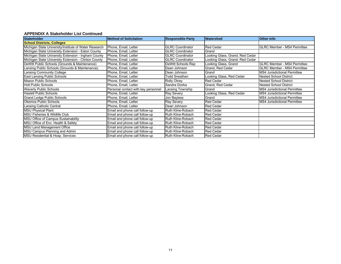| <b>Stakeholder</b>                                    | <b>Method of Solicitation</b>       | <b>Responsible Party</b> | <b>Watershed</b>                | <b>Other Info</b>                   |
|-------------------------------------------------------|-------------------------------------|--------------------------|---------------------------------|-------------------------------------|
| <b>School Districts, Colleges</b>                     |                                     |                          |                                 |                                     |
| Michigan State University/Institute of Water Research | Phone, Email, Letter                | <b>GLRC Coordinator</b>  | <b>Red Cedar</b>                | <b>GLRC Member - MS4 Permittee</b>  |
| Michigan State University Extension - Eaton County    | Phone, Email, Letter                | <b>GLRC</b> Coordinator  | Grand                           |                                     |
| Michigan State University Extension - Ingham County   | Phone, Email, Letter                | <b>GLRC Coordinator</b>  | Looking Glass, Grand, Red Cedar |                                     |
| Michigan State University Extension - Clinton County  | Phone, Email, Letter                | <b>GLRC Coordinator</b>  | Looking Glass, Grand, Red Cedar |                                     |
| DeWitt Public Schools (Grounds & Maintenance)         | Phone, Email, Letter                | DeWitt Schools Rep       | Looking Glass, Grand            | <b>GLRC Member - MS4 Permittee</b>  |
| Lansing Public Schools (Grounds & Maintenance)        | Phone, Email, Letter                | Dean Johnson             | Grand, Red Cedar                | <b>GLRC Member - MS4 Permittee</b>  |
| Lansing Community College                             | Phone, Email, Letter                | Dean Johnson             | Grand                           | <b>MS4 Jurisdictional Permittee</b> |
| <b>East Lansing Public Schools</b>                    | Phone, Email, Letter                | Todd Sneathen            | Looking Glass, Red Cedar        | <b>Nested School District</b>       |
| <b>Mason Public Schools</b>                           | Phone, Email, Letter                | <b>Rolly Olney</b>       | <b>Red Cedar</b>                | <b>Nested School District</b>       |
| <b>Holt Public Schools</b>                            | Phone, Email, Letter                | Sandra Diorka            | Grand, Red Cedar                | <b>Nested School District</b>       |
| <b>Waverly Public Schools</b>                         | Personal contact with key personnel | Lansing Township         | Grand                           | <b>MS4 Jurisdictional Permittee</b> |
| <b>Haslett Public Schools</b>                         | Phone, Email, Letter                | <b>Ray Severy</b>        | Looking Glass, Red Cedar        | <b>MS4 Jurisdictional Permittee</b> |
| <b>Grand Ledge Public Schools</b>                     | Phone, Email, Letter                | Jon Bayless              | Grand                           | <b>MS4 Jurisdictional Permittee</b> |
| Okemos Public Schools                                 | Phone, Email, Letter                | Ray Severy               | <b>Red Cedar</b>                | <b>MS4 Jurisdictional Permittee</b> |
| Lansing Catholic Central                              | Phone, Email, Letter                | Dean Johnson             | <b>Red Cedar</b>                |                                     |
| <b>MSU Physical Plant</b>                             | Email and phone call follow-up      | Ruth Kline-Robach        | <b>Red Cedar</b>                |                                     |
| MSU Fisheries & Wildlife Club                         | Email and phone call follow-up      | Ruth Kline-Robach        | <b>Red Cedar</b>                |                                     |
| MSU Office of Campus Sustainability                   | Email and phone call follow-up      | Ruth Kline-Robach        | <b>Red Cedar</b>                |                                     |
| MSU Office of Env. Health & Safety                    | Email and phone call follow-up      | Ruth Kline-Robach        | <b>Red Cedar</b>                |                                     |
| <b>MSU Land Management Office</b>                     | Email and phone call follow-up      | Ruth Kline-Robach        | <b>Red Cedar</b>                |                                     |
| MSU Campus Planning and Admin                         | Email and phone call follow-up      | Ruth Kline-Robach        | <b>Red Cedar</b>                |                                     |
| <b>MSU Residential &amp; Hosp. Services</b>           | Email and phone call follow-up      | Ruth Kline-Robach        | <b>Red Cedar</b>                |                                     |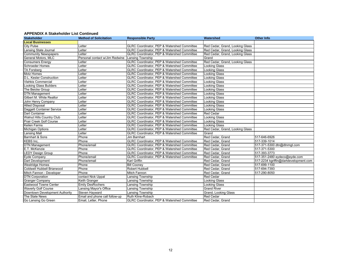| <b>Stakeholder</b>              | <b>Method of Solicitation</b>  | <b>Responsible Party</b>                               | Watershed                       | <b>Other Info</b>                     |  |  |
|---------------------------------|--------------------------------|--------------------------------------------------------|---------------------------------|---------------------------------------|--|--|
| <b>Local Businesses</b>         |                                |                                                        |                                 |                                       |  |  |
| <b>City Pulse</b>               | Letter                         | GLRC Coordinator, PEP & Watershed Committee            | Red Cedar, Grand, Looking Glass |                                       |  |  |
| Lansing State Journal           | Letter                         | GLRC Coordinator, PEP & Watershed Committee            | Red Cedar, Grand, Looking Glass |                                       |  |  |
| <b>Community Newspapers</b>     | Letter                         | GLRC Coordinator, PEP & Watershed Committee            | Red Cedar, Grand, Looking Glass |                                       |  |  |
| General Motors, MLC             | Personal contact w/Jim Redwine | Lansing Township                                       | Grand                           |                                       |  |  |
| <b>Consumers Energy</b>         | Letter                         | GLRC Coordinator, PEP & Watershed Committee            | Red Cedar, Grand, Looking Glass |                                       |  |  |
| <b>Schroeder Homes</b>          | Letter                         | GLRC Coordinator, PEP & Watershed Committee            | Looking Glass                   |                                       |  |  |
| TA Forsberg                     | Letter                         | GLRC Coordinator, PEP & Watershed Committee            | Looking Glass                   |                                       |  |  |
| Motz Homes                      | Letter                         | GLRC Coordinator, PEP & Watershed Committee            | Looking Glass                   |                                       |  |  |
| <b>D.L. Kesler Construction</b> | Letter                         | GLRC Coordinator, PEP & Watershed Committee            | <b>Looking Glass</b>            |                                       |  |  |
| <b>Vlahkis Commercial</b>       | Letter                         | GLRC Coordinator, PEP & Watershed Committee            | Looking Glass                   |                                       |  |  |
| <b>Looking Glass Builders</b>   | Letter                         | GLRC Coordinator, PEP & Watershed Committee            | Looking Glass                   |                                       |  |  |
| The Beicke Group                | Letter                         | GLRC Coordinator, PEP & Watershed Committee            | Looking Glass                   |                                       |  |  |
| <b>DTN Management</b>           | Letter                         | GLRC Coordinator, PEP & Watershed Committee            | <b>Looking Glass</b>            |                                       |  |  |
| Gilbert M. White Realtor        | Letter                         | GLRC Coordinator, PEP & Watershed Committee            | <b>Looking Glass</b>            |                                       |  |  |
| John Henry Company              | Letter                         | GLRC Coordinator, PEP & Watershed Committee            | <b>Looking Glass</b>            |                                       |  |  |
| <b>Allied Disposal</b>          | Letter                         | GLRC Coordinator, PEP & Watershed Committee            | Looking Glass                   |                                       |  |  |
| Daggett Container Service       | Letter                         | GLRC Coordinator, PEP & Watershed Committee            | Looking Glass                   |                                       |  |  |
| Dart Container                  | Letter                         | GLRC Coordinator, PEP & Watershed Committee            | <b>Red Cedar</b>                |                                       |  |  |
| Walnut Hills Country Club       | Letter                         | GLRC Coordinator, PEP & Watershed Committee            | <b>Looking Glass</b>            |                                       |  |  |
| Prair Creek Golf Course         | Letter                         | GLRC Coordinator, PEP & Watershed Committee            | Looking Glass                   |                                       |  |  |
| Keilen Farms                    | Letter                         | GLRC Coordinator, PEP & Watershed Committee            | Looking Glass                   |                                       |  |  |
| <b>Michigan Options</b>         | Letter                         | GLRC Coordinator, PEP & Watershed Committee            | Red Cedar, Grand, Looking Glass |                                       |  |  |
| Lansing Mall                    | Letter                         | GLRC Coordinator, PEP & Watershed Committee            | Grand                           |                                       |  |  |
| Barnhart & Sons                 | Phone                          | Jim Barnhart                                           | Red Cedar, Grand                | 517-646-6926                          |  |  |
| <b>KEBS Inc.</b>                | Phone                          | GLRC Coordinator, PEP & Watershed Committee            | Red Cedar, Grand                | 517-339-1014                          |  |  |
| <b>DTN Management</b>           | Phone/email                    | GLRC Coordinator, PEP & Watershed Committee            | Red Cedar, Grand                | 517-371-5300 dtn@dtnmgt.com           |  |  |
| E.T. McKenzie                   | Phone                          | GLRC Coordinator, PEP & Watershed Committee            | Red Cedar, Grand                | 517-371-5300                          |  |  |
| <b>LEDY Design Group</b>        | Phone                          | GLRC Coordinator, PEP & Watershed Committee            | Red Cedar, Grand                | 517-393-3773                          |  |  |
| Eyde Company                    | Phone/email                    | GLRC Coordinator, PEP & Watershed Committee            | Red Cedar, Grand                | 517-351-2480 eydeco@eyde.com          |  |  |
| Dart Development                | Phone/email                    | Karl Griffin                                           | Red Cedar, Grand                | 517-2234 kgriffin@dartdevelopment.com |  |  |
| <b>Westridge Homes</b>          | Phone                          | <b>Bill Cooney</b>                                     | Red Cedar, Grand                | 517-699-1100                          |  |  |
| Coldwell Hubbell Briarwood      | Phone                          | Robert Hubbell                                         | Red Cedar, Grand                | 517-694-7393                          |  |  |
| Mitch Fannon - Developer        | Phone                          | Mitch Fannon                                           | Red Cedar, Grand                | 517-290-8050                          |  |  |
| <b>DTN Corporation</b>          | contact Nick Uppal             | Lansing Township                                       | <b>Red Cedar</b>                |                                       |  |  |
| <b>Granger Company</b>          | Keith Granger                  | Lansing Township                                       | Looking Glass                   |                                       |  |  |
| Eastwood Towne Center           | <b>Emily DesRochers</b>        | Lansing Township                                       | Looking Glass                   |                                       |  |  |
| <b>Waverly Golf Course</b>      | Lansing Mayor's Office         | Lansing Township                                       | <b>Grand River</b>              |                                       |  |  |
| Downtown Development Authority  | Steven Hayward                 | Lansing Township                                       | Grand, Looking Glass            |                                       |  |  |
| The State News                  | Email and phone call follow-up | Ruth Kline-Robach                                      | <b>Red Cedar</b>                |                                       |  |  |
| Go Lansing Go Green             | Email, Letter, Phone           | <b>GLRC Coordinator, PEP &amp; Watershed Committee</b> | Red Cedar, Grand                |                                       |  |  |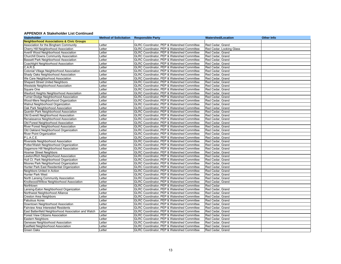| <b>Stakeholder</b>                                  |        | <b>Method of Solicitation Responsible Party</b> | <b>Watershed/Location</b> | <b>Other Info</b> |
|-----------------------------------------------------|--------|-------------------------------------------------|---------------------------|-------------------|
| <b>Neighborhood Associations &amp; Civic Groups</b> |        |                                                 |                           |                   |
| Association for the Bingham Community               | Letter | GLRC Coordinator, PEP & Watershed Committee     | Red Cedar, Grand          |                   |
| Cherry Hill Neighborhood Association                | Letter | GLRC Coordinator, PEP & Watershed Committee     | Red Cedar, Looking Glass  |                   |
| Averill Wood Neighborhood Association               | Letter | GLRC Coordinator, PEP & Watershed Committee     | Red Cedar, Grand          |                   |
| Churchill Downs Community Association               | Letter | GLRC Coordinator, PEP & Watershed Committee     | Red Cedar, Grand          |                   |
| Bassett Park Neighborhood Association               | Letter | GLRC Coordinator, PEP & Watershed Committee     | Red Cedar, Grand          |                   |
| Coachlight Neighborhood Association                 | Letter | GLRC Coordinator, PEP & Watershed Committee     | Red Cedar, Grand          |                   |
| C.A.R.S.                                            | Letter | GLRC Coordinator, PEP & Watershed Committee     | Red Cedar, Grand          |                   |
| Colonial Village Neighborhood Association           | Letter | GLRC Coordinator, PEP & Watershed Committee     | Red Cedar, Grand          |                   |
| Shady Oaks Neighborhood Association                 | Letter | GLRC Coordinator, PEP & Watershed Committee     | Red Cedar, Grand          |                   |
| We Care Neighborhood Association                    | Letter | GLRC Coordinator, PEP & Watershed Committee     | Red Cedar, Grand          |                   |
| <b>Shepard Street United Neighbors</b>              | Letter | GLRC Coordinator, PEP & Watershed Committee     | Red Cedar, Grand          |                   |
| Westside Neighborhood Association                   | Letter | GLRC Coordinator, PEP & Watershed Committee     | Red Cedar, Grand          |                   |
| Square One                                          | Letter | GLRC Coordinator, PEP & Watershed Committee     | Red Cedar, Grand          |                   |
| Wexford Heights Neighborhood Association            | Letter | GLRC Coordinator, PEP & Watershed Committee     | Red Cedar, Grand          |                   |
| Turner-Dodge Neighborhood Association               | Letter | GLRC Coordinator, PEP & Watershed Committee     | Red Cedar, Grand          |                   |
| Wood-Mere Neighborhood Organization                 | Letter | GLRC Coordinator, PEP & Watershed Committee     | Red Cedar, Grand          |                   |
| Walnut Neighborhood Organization                    | Letter | GLRC Coordinator, PEP & Watershed Committee     | Red Cedar, Grand          |                   |
| Oak Park Neighborhood Association                   | Letter | GLRC Coordinator, PEP & Watershed Committee     | Red Cedar, Grand          |                   |
| Quentin Park Neighborhood Association               | Letter | GLRC Coordinator, PEP & Watershed Committee     | Red Cedar, Grand          |                   |
| Old Everett Neighborhood Association                | Letter | GLRC Coordinator, PEP & Watershed Committee     | Red Cedar, Grand          |                   |
| Renaissance Neighborhood Association                | Letter | GLRC Coordinator, PEP & Watershed Committee     | Red Cedar, Grand          |                   |
| Old Forest Neighborhood Association                 | Letter | GLRC Coordinator, PEP & Watershed Committee     | Red Cedar, Grand          |                   |
| River Forest Neighborhood Association               | Letter | GLRC Coordinator, PEP & Watershed Committee     | Red Cedar, Grand          |                   |
| Old Oakland Neighborhood Organization               | Letter | GLRC Coordinator, PEP & Watershed Committee     | Red Cedar, Grand          |                   |
| <b>River Point Organization</b>                     | Letter | GLRC Coordinator, PEP & Watershed Committee     | Red Cedar, Grand          |                   |
| P.L.A.C.E.                                          | Letter | GLRC Coordinator, PEP & Watershed Committee     | Red Cedar, Grand          |                   |
| Riverside Neighborhood Association                  | Letter | GLRC Coordinator, PEP & Watershed Committee     | Red Cedar, Grand          |                   |
| Potter/Walsh Neighborhood Organization              | Letter | GLRC Coordinator, PEP & Watershed Committee     | Red Cedar, Grand          |                   |
| Sagamore Hill Neighborhood Association              | Letter | GLRC Coordinator, PEP & Watershed Committee     | Red Cedar, Grand          |                   |
| <b>Hosmer Street Neighbors</b>                      | Letter | GLRC Coordinator, PEP & Watershed Committee     | Red Cedar, Grand          |                   |
| _ewton/Rich Neighborhood Association                | Letter | GLRC Coordinator, PEP & Watershed Committee     | Red Cedar, Grand          |                   |
| Hull Ct. Park Neighborhood Organization             | Letter | GLRC Coordinator, PEP & Watershed Committee     | Red Cedar, Grand          |                   |
| Moores Park Neighborhood Organization               | Letter | GLRC Coordinator, PEP & Watershed Committee     | Red Cedar, Grand          |                   |
| Hunter Park East Residential Organization           | Letter | GLRC Coordinator, PEP & Watershed Committee     | Red Cedar, Grand          |                   |
| Neighbors United in Action                          | Letter | GLRC Coordinator, PEP & Watershed Committee     | Red Cedar, Grand          |                   |
| Hunter Park West                                    | Letter | GLRC Coordinator, PEP & Watershed Committee     | Red Cedar, Grand          |                   |
| North Lansing Community Association                 | Letter | GLRC Coordinator, PEP & Watershed Committee     | Red Cedar, Grand          |                   |
| Knollwood/Willow Neighborhood Association           | Letter | GLRC Coordinator, PEP & Watershed Committee     | Red Cedar, Grand          |                   |
| Northtown                                           | Letter | GLRC Coordinator, PEP & Watershed Committee     | <b>Red Cedar</b>          |                   |
| ansing-Eaton Neighborhood Organization              | Letter | GLRC Coordinator, PEP & Watershed Committee     | Red Cedar, Grand          |                   |
| Northwest Neighborhood Alliance                     | Letter | GLRC Coordinator, PEP & Watershed Committee     | Red Cedar, Grand          |                   |
| <b>Creston Area Neighbors</b>                       | Letter | GLRC Coordinator, PEP & Watershed Committee     | Red Cedar, Grand          |                   |
| <b>Fabulous Acres</b>                               | Letter | GLRC Coordinator, PEP & Watershed Committee     | Red Cedar, Grand          |                   |
| Downtown Neighborhood Association                   | Letter | GLRC Coordinator, PEP & Watershed Committee     | Red Cedar, Grand          |                   |
| <b>Fairview Area Interested Residents</b>           | Letter | GLRC Coordinator, PEP & Watershed Committee     | Red Cedar, Grand          |                   |
| East Battenfield Neighborhood Association and Watch | Letter | GLRC Coordinator, PEP & Watershed Committee     | Red Cedar, Grand          |                   |
| <b>Forest View Citizens Association</b>             | Letter | GLRC Coordinator, PEP & Watershed Committee     | Red Cedar, Grand          |                   |
| Eastern Neighbors                                   | Letter | GLRC Coordinator, PEP & Watershed Committee     | Red Cedar, Grand          |                   |
| Genesee Neighborhood Association                    | Letter | GLRC Coordinator, PEP & Watershed Committee     | Red Cedar, Grand          |                   |
| Eastfield Neighborhood Association                  | Letter | GLRC Coordinator, PEP & Watershed Committee     | Red Cedar, Grand          |                   |
| <b>Green Oaks</b>                                   | Letter | GLRC Coordinator, PEP & Watershed Committee     | Red Cedar, Grand          |                   |
|                                                     |        |                                                 |                           |                   |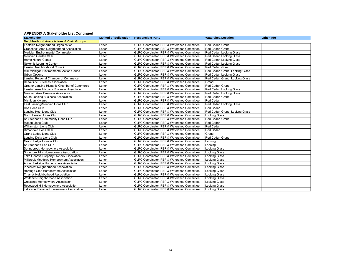| Method of Solicitation Responsible Party<br><b>Stakeholder</b> |        |                                                        | <b>Watershed/Location</b>       | <b>Other Info</b> |
|----------------------------------------------------------------|--------|--------------------------------------------------------|---------------------------------|-------------------|
| <b>Neighborhood Associations &amp; Civic Groups</b>            |        |                                                        |                                 |                   |
| Eastside Neighborhood Organization                             | Letter | GLRC Coordinator, PEP & Watershed Committee            | Red Cedar, Grand                |                   |
| Groesbeck Area Neighborhood Association                        | Letter | <b>GLRC Coordinator, PEP &amp; Watershed Committee</b> | Red Cedar, Grand                |                   |
| Meridian Environmental Commission                              | Letter | GLRC Coordinator, PEP & Watershed Committee            | Red Cedar, Looking Glass        |                   |
| Meridian Garden Club                                           | Letter | GLRC Coordinator, PEP & Watershed Committee            | Red Cedar, Looking Glass        |                   |
| <b>Harris Nature Center</b>                                    | Letter | GLRC Coordinator, PEP & Watershed Committee            | Red Cedar, Looking Glass        |                   |
| Nokomis Learning Center                                        | Letter | GLRC Coordinator, PEP & Watershed Committee            | Red Cedar, Looking Glass        |                   |
| ansing Neighborhood Council                                    | Letter | GLRC Coordinator, PEP & Watershed Committee            | Red Cedar, Grand                |                   |
| Mid-Michigan Environmental Action Council                      | Letter | GLRC Coordinator, PEP & Watershed Committee            | Red Cedar, Grand, Looking Glass |                   |
| <b>Urban Options</b>                                           | Letter | GLRC Coordinator, PEP & Watershed Committee            | Red Cedar, Looking Glass        |                   |
| Lansing Regional Chamber of Commerce                           | Letter | GLRC Coordinator, PEP & Watershed Committee            | Red Cedar, Grand, Looking Glass |                   |
| Delta-Side Business Association                                | Letter | GLRC Coordinator, PEP & Watershed Committee            | Grand                           |                   |
| Greater Lansing Hispanic Chamber of Commerce                   | Letter | GLRC Coordinator, PEP & Watershed Committee            | Red Cedar, Grand                |                   |
| Lansing Area Hispanic Business Association                     | Letter | GLRC Coordinator, PEP & Watershed Committee            | Red Cedar, Looking Glass        |                   |
| Meridian Area Business Association                             | Letter | GLRC Coordinator, PEP & Watershed Committee            | Red Cedar, Looking Glass        |                   |
| South Lansing Business Association                             | Letter | GLRC Coordinator, PEP & Watershed Committee            | Red Cedar, Grand                |                   |
| Michigan Kiwanis                                               | Letter | GLRC Coordinator, PEP & Watershed Committee            | <b>Red Cedar</b>                |                   |
| East Lansing/Meridian Lions Club                               | Letter | GLRC Coordinator, PEP & Watershed Committee            | Red Cedar, Looking Glass        |                   |
| <b>Holt Lions Club</b>                                         | Letter | GLRC Coordinator, PEP & Watershed Committee            | <b>Red Cedar</b>                |                   |
| Lansing Host Lions Club                                        | Letter | GLRC Coordinator, PEP & Watershed Committee            | Red Cedar, Grand, Looking Glass |                   |
| North Lansing Lions Club                                       | Letter | GLRC Coordinator, PEP & Watershed Committee            | <b>Looking Glass</b>            |                   |
| St. Stephan's Community Lions Club                             | Letter | GLRC Coordinator, PEP & Watershed Committee            | Red Cedar, Grand                |                   |
| Mason Lions Club                                               | Letter | GLRC Coordinator, PEP & Watershed Committee            | <b>Red Cedar</b>                |                   |
| <b>Williamston Lions Club</b>                                  | Letter | GLRC Coordinator, PEP & Watershed Committee            | <b>Red Cedar</b>                |                   |
| Dimondale Lions Club                                           | Letter | GLRC Coordinator, PEP & Watershed Committee            | <b>Red Cedar</b>                |                   |
| Grand Ledge Lions Club                                         | Letter | GLRC Coordinator, PEP & Watershed Committee            | Grand                           |                   |
| Lansing Delta Lions Club                                       | Letter | GLRC Coordinator, PEP & Watershed Committee            | Red Cedar, Grand                |                   |
| Grand Ledge Lioness Club                                       | Letter | GLRC Coordinator, PEP & Watershed Committee            | Lansing                         |                   |
| St. Stephen's Leo Club                                         | Letter | GLRC Coordinator, PEP & Watershed Committee            | Lansing                         |                   |
| Springbrook Homeowners Association                             | Letter | GLRC Coordinator, PEP & Watershed Committee            | <b>Looking Glass</b>            |                   |
| Springbok Hills Homeowners Association                         | Letter | GLRC Coordinator, PEP & Watershed Committee            | Looking Glass                   |                   |
| Lake Geneva Property Owners Association                        | Letter | GLRC Coordinator, PEP & Watershed Committee            | Looking Glass                   |                   |
| Millbrook Meadows Homeowners Association                       | Letter | GLRC Coordinator, PEP & Watershed Committee            | <b>Looking Glass</b>            |                   |
| Abbot Parkside Homeowners Association                          | Letter | GLRC Coordinator, PEP & Watershed Committee            | <b>Looking Glass</b>            |                   |
| Pinecrest Neighborhood Association                             | Letter | GLRC Coordinator, PEP & Watershed Committee            | <b>Looking Glass</b>            |                   |
| Heritage Glen Homeowners Association                           | Letter | GLRC Coordinator, PEP & Watershed Committee            | <b>Looking Glass</b>            |                   |
| <b>Tmarisk Neighborhood Association</b>                        | Letter | GLRC Coordinator, PEP & Watershed Committee            | <b>Looking Glass</b>            |                   |
| Whitehills Neighborhood Association                            | Letter | GLRC Coordinator, PEP & Watershed Committee            | <b>Looking Glass</b>            |                   |
| <b>Crossings Homeowners Association</b>                        | Letter | GLRC Coordinator, PEP & Watershed Committee            | Looking Glass                   |                   |
| Rosewood Hill Homeowners Association                           | Letter | GLRC Coordinator, PEP & Watershed Committee            | <b>Looking Glass</b>            |                   |
| Lakeside Preserve Homeowners Association                       | Letter | GLRC Coordinator, PEP & Watershed Committee            | Looking Glass                   |                   |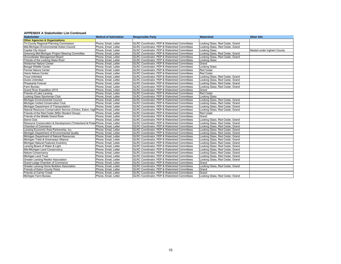| <b>Stakeholder</b>                                                               | <b>Method of Solicitation</b> | <b>Responsible Party</b>                                | Watershed                       | <b>Other Info</b>          |
|----------------------------------------------------------------------------------|-------------------------------|---------------------------------------------------------|---------------------------------|----------------------------|
| <b>Other Agencies &amp; Organizations</b>                                        |                               |                                                         |                                 |                            |
| Tri-County Regional Planning Commission                                          | Phone, Email, Letter          | GLRC Coordinator, PEP & Watershed Committees            | Looking Glass, Red Cedar, Grand |                            |
| Mid-Michigan Environmental Action Council                                        | Phone, Email, Letter          | GLRC Coordinator, PEP & Watershed Committees            | Looking Glass, Red Cedar, Grand |                            |
| Capital City Airport                                                             | Phone, Email, Letter          | GLRC Coordinator, PEP & Watershed Committees            | <b>Looking Glass</b>            | Nested under Ingham County |
| Greening Mid-Michigan Project Steering Committee                                 | Phone, Email, Letter          | GLRC Coordinator, PEP & Watershed Committees            | Looking Glass, Red Cedar, Grand |                            |
| Groundwater Management Board                                                     | Phone, Email, Letter          | <b>GLRC Coordinator, PEP &amp; Watershed Committees</b> | Looking Glass, Red Cedar, Grand |                            |
| Friends of the Looking Glass River                                               | Phone, Email, Letter          | GLRC Coordinator, PEP & Watershed Committees            | <b>Looking Glass</b>            |                            |
| <b>Woldumar Nature Center</b>                                                    | Phone, Email, Letter          | GLRC Coordinator, PEP & Watershed Committees            | Grand                           |                            |
| <b>Bengal Wildlife Center</b>                                                    | Phone, Email, Letter          | GLRC Coordinator, PEP & Watershed Committees            | <b>Looking Glass</b>            |                            |
| Fenner Nature Center                                                             | Phone, Email, Letter          | GLRC Coordinator, PEP & Watershed Committees            | <b>Red Cedar</b>                |                            |
| <b>Harris Nature Center</b>                                                      | Phone, Email, Letter          | GLRC Coordinator, PEP & Watershed Committees            | <b>Red Cedar</b>                |                            |
| <b>Trout Unlimited</b>                                                           | Phone, Email, Letter          | GLRC Coordinator, PEP & Watershed Committees            | Looking Glass, Red Cedar, Grand |                            |
| <b>Ducks Unlimited</b>                                                           | Phone, Email, Letter          | GLRC Coordinator, PEP & Watershed Committees            | Looking Glass, Red Cedar, Grand |                            |
| Pheasants Forever                                                                | Phone, Email, Letter          | GLRC Coordinator, PEP & Watershed Committees            | Looking Glass, Red Cedar, Grand |                            |
| Farm Bureau                                                                      | Phone, Email, Letter          | GLRC Coordinator, PEP & Watershed Committees            | Looking Glass, Red Cedar, Grand |                            |
| Grand River Expedition 2010                                                      | Phone, Email, Letter          | GLRC Coordinator, PEP & Watershed Committees            | Grand                           |                            |
| Friends of Lake Lansing                                                          | Phone, Email, Letter          | GLRC Coordinator, PEP & Watershed Committees            | <b>Red Cedar</b>                |                            |
| Looking Glass Sportsman Club                                                     | Phone, Email, Letter          | GLRC Coordinator, PEP & Watershed Committees            | <b>Looking Glass</b>            |                            |
| Michigan Environmental Council                                                   | Phone, Email, Letter          | <b>GLRC Coordinator, PEP &amp; Watershed Committees</b> | Looking Glass, Red Cedar, Grand |                            |
| Michigan United Conservation Club                                                | Phone, Email, Letter          | GLRC Coordinator, PEP & Watershed Committees            | Looking Glass, Red Cedar, Grand |                            |
| Michigan Department of Transportation                                            | Phone, Email, Letter          | GLRC Coordinator, PEP & Watershed Committees            | Looking Glass, Red Cedar, Grand |                            |
| Natural Resource Conservation Service (Clinton, Eaton, Ingh Phone, Email, Letter |                               | GLRC Coordinator, PEP & Watershed Committees            | Looking Glass, Red Cedar, Grand |                            |
| Friends of the Red Cedar (MSU Student Group)                                     | Phone. Email. Letter          | GLRC Coordinator, PEP & Watershed Committees            | <b>Red Cedar</b>                |                            |
| Friends of the Middle Grand River                                                | Phone, Email, Letter          | GLRC Coordinator, PEP & Watershed Committees            | Grand                           |                            |
| Sierra Club                                                                      | Phone, Email, Letter          | GLRC Coordinator, PEP & Watershed Committees            | Looking Glass, Red Cedar, Grand |                            |
| Resource Conservation & Development (Timberland & Potav Phone, Email, Letter     |                               | GLRC Coordinator, PEP & Watershed Committees            | Looking Glass, Red Cedar, Grand |                            |
| Chamber of Commerce                                                              | Phone, Email, Letter          | GLRC Coordinator, PEP & Watershed Committees            | Looking Glass, Red Cedar, Grand |                            |
| Lansing Economic Area Partnership, Inc.                                          | Phone, Email, Letter          | GLRC Coordinator, PEP & Watershed Committees            | Looking Glass, Red Cedar, Grand |                            |
| Michigan Department of Environmental Quality                                     | Phone, Email, Letter          | GLRC Coordinator, PEP & Watershed Committees            | Looking Glass, Red Cedar, Grand |                            |
| Michigan Department of Natural Resources                                         | Phone, Email, Letter          | GLRC Coordinator, PEP & Watershed Committees            | Looking Glass, Red Cedar, Grand |                            |
| Michigan Trails & Greenways Alliance                                             | Phone, Email, Letter          | GLRC Coordinator, PEP & Watershed Committees            | Looking Glass, Red Cedar, Grand |                            |
| Michigan Natural Features Inventory                                              | Phone, Email, Letter          | GLRC Coordinator, PEP & Watershed Committees            | Looking Glass, Red Cedar, Grand |                            |
| Lansing Board of Water & Light                                                   | Phone, Email, Letter          | GLRC Coordinator, PEP & Watershed Committees            | Looking Glass, Red Cedar, Grand |                            |
| Mid-Michigan Land Conservancy                                                    | Phone, Email, Letter          | GLRC Coordinator, PEP & Watershed Committees            | Looking Glass, Red Cedar, Grand |                            |
| Nature Conservancy                                                               | Phone, Email, Letter          | GLRC Coordinator, PEP & Watershed Committees            | Looking Glass, Red Cedar, Grand |                            |
| Michigan Land Trust                                                              | Phone, Email, Letter          | GLRC Coordinator, PEP & Watershed Committees            | Looking Glass, Red Cedar, Grand |                            |
| <b>Greater Lansing Realtor Association</b>                                       | Phone, Email, Letter          | GLRC Coordinator, PEP & Watershed Committees            | Looking Glass, Red Cedar, Grand |                            |
| Grand Ledge Chamber of Commerce                                                  | Phone, Email, Letter          | GLRC Coordinator, PEP & Watershed Committees            | Grand                           |                            |
| Greater Lansing Home Builders Association                                        | Phone, Email, Letter          | GLRC Coordinator, PEP & Watershed Committees            | Looking Glass, Red Cedar, Grand |                            |
| Friends of Eaton County Parks                                                    | Phone, Email, Letter          | GLRC Coordinator, PEP & Watershed Committees            | Grand                           |                            |
| <b>Friends of Carrier Creek</b>                                                  | Phone, Email, Letter          | GLRC Coordinator, PEP & Watershed Committees            | Grand                           |                            |
| Michigan Farm Bureau                                                             | Phone, Email, Letter          | GLRC Coordinator, PEP & Watershed Committees            | Looking Glass, Red Cedar, Grand |                            |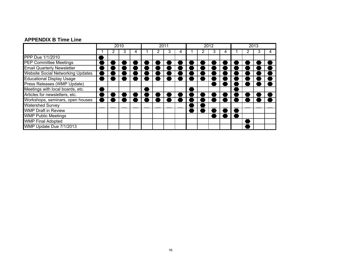## **APPENDIX B Time Line**

|                                          | 2010 |  | 2011 |  |  | 2012 |  |  |  | 2013 |  |  |  |  |  |
|------------------------------------------|------|--|------|--|--|------|--|--|--|------|--|--|--|--|--|
|                                          |      |  | J.   |  |  |      |  |  |  |      |  |  |  |  |  |
| PPP Due 1/1/2010                         |      |  |      |  |  |      |  |  |  |      |  |  |  |  |  |
| <b>PEP Committee Meetings</b>            |      |  |      |  |  |      |  |  |  |      |  |  |  |  |  |
| <b>Email Quarterly Newsletter</b>        |      |  |      |  |  |      |  |  |  |      |  |  |  |  |  |
| <b>Website Social Networking Updates</b> |      |  |      |  |  |      |  |  |  |      |  |  |  |  |  |
| <b>Educational Display Usage</b>         |      |  |      |  |  |      |  |  |  |      |  |  |  |  |  |
| Press Releases (WMP Update)              |      |  |      |  |  |      |  |  |  |      |  |  |  |  |  |
| Meetings with local boards, etc.         |      |  |      |  |  |      |  |  |  |      |  |  |  |  |  |
| Articles for newsletters, etc.           |      |  |      |  |  |      |  |  |  |      |  |  |  |  |  |
| Workshops, seminars, open houses         |      |  |      |  |  |      |  |  |  |      |  |  |  |  |  |
| <b>Watershed Survey</b>                  |      |  |      |  |  |      |  |  |  |      |  |  |  |  |  |
| <b>WMP Draft in Review</b>               |      |  |      |  |  |      |  |  |  |      |  |  |  |  |  |
| <b>WMP Public Meetings</b>               |      |  |      |  |  |      |  |  |  |      |  |  |  |  |  |
| <b>WMP Final Adopted</b>                 |      |  |      |  |  |      |  |  |  |      |  |  |  |  |  |
| WMP Update Due 7/1/2013                  |      |  |      |  |  |      |  |  |  |      |  |  |  |  |  |